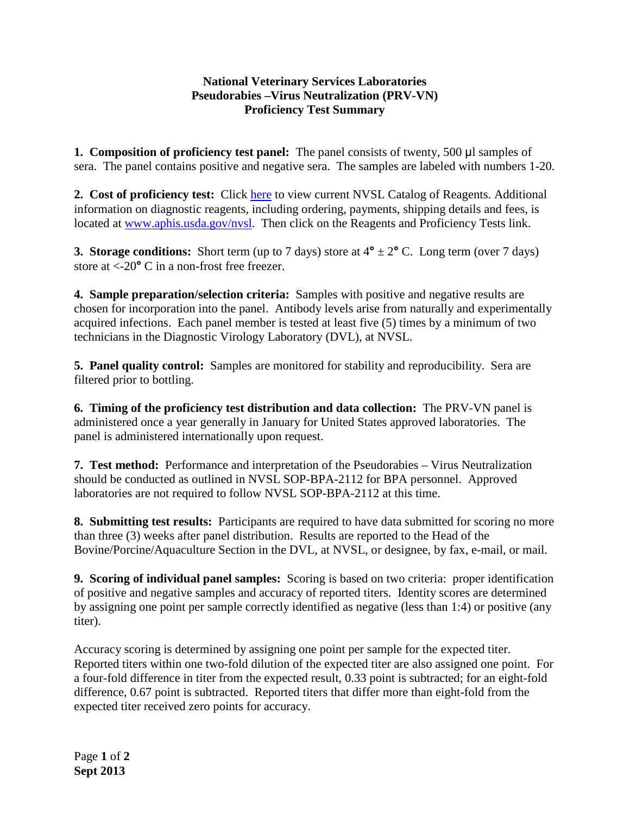## **National Veterinary Services Laboratories Pseudorabies –Virus Neutralization (PRV-VN) Proficiency Test Summary**

**1. Composition of proficiency test panel:** The panel consists of twenty, 500 μl samples of sera. The panel contains positive and negative sera. The samples are labeled with numbers 1-20.

**2. Cost of proficiency test:** Click [here](http://www.aphis.usda.gov/animal_health/lab_info_services/downloads/AmesReagentManualCurrent.pdf) to view current NVSL Catalog of Reagents. Additional information on diagnostic reagents, including ordering, payments, shipping details and fees, is located at [www.aphis.usda.gov/nvsl.](http://www.aphis.usda.gov/nvsl) Then click on the Reagents and Proficiency Tests link.

**3. Storage conditions:** Short term (up to 7 days) store at  $4^{\circ} \pm 2^{\circ}$  C. Long term (over 7 days) store at <-20**°** C in a non-frost free freezer.

**4. Sample preparation/selection criteria:** Samples with positive and negative results are chosen for incorporation into the panel. Antibody levels arise from naturally and experimentally acquired infections. Each panel member is tested at least five (5) times by a minimum of two technicians in the Diagnostic Virology Laboratory (DVL), at NVSL.

**5. Panel quality control:** Samples are monitored for stability and reproducibility. Sera are filtered prior to bottling.

**6. Timing of the proficiency test distribution and data collection:** The PRV-VN panel is administered once a year generally in January for United States approved laboratories. The panel is administered internationally upon request.

**7. Test method:** Performance and interpretation of the Pseudorabies – Virus Neutralization should be conducted as outlined in NVSL SOP-BPA-2112 for BPA personnel. Approved laboratories are not required to follow NVSL SOP-BPA-2112 at this time.

**8. Submitting test results:** Participants are required to have data submitted for scoring no more than three (3) weeks after panel distribution. Results are reported to the Head of the Bovine/Porcine/Aquaculture Section in the DVL, at NVSL, or designee, by fax, e-mail, or mail.

**9. Scoring of individual panel samples:** Scoring is based on two criteria: proper identification of positive and negative samples and accuracy of reported titers. Identity scores are determined by assigning one point per sample correctly identified as negative (less than 1:4) or positive (any titer).

Accuracy scoring is determined by assigning one point per sample for the expected titer. Reported titers within one two-fold dilution of the expected titer are also assigned one point. For a four-fold difference in titer from the expected result, 0.33 point is subtracted; for an eight-fold difference, 0.67 point is subtracted. Reported titers that differ more than eight-fold from the expected titer received zero points for accuracy.